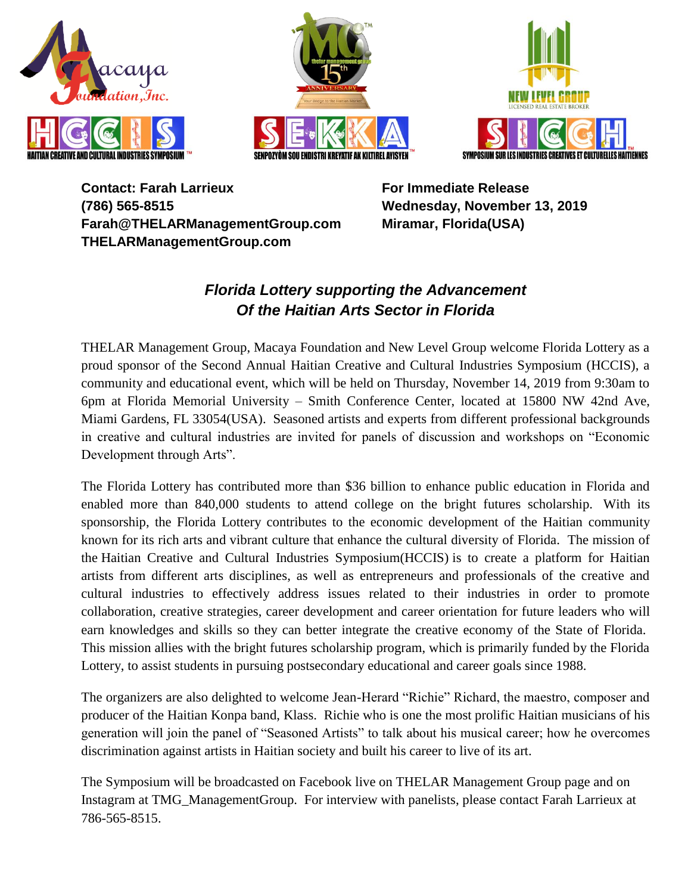





**Contact: Farah Larrieux (786) 565-8515 Farah@THELARManagementGroup.com THELARManagementGroup.com**

**For Immediate Release Wednesday, November 13, 2019 Miramar, Florida(USA)**

## *Florida Lottery supporting the Advancement Of the Haitian Arts Sector in Florida*

THELAR Management Group, Macaya Foundation and New Level Group welcome Florida Lottery as a proud sponsor of the Second Annual Haitian Creative and Cultural Industries Symposium (HCCIS), a community and educational event, which will be held on Thursday, November 14, 2019 from 9:30am to 6pm at Florida Memorial University – Smith Conference Center, located at 15800 NW 42nd Ave, Miami Gardens, FL 33054(USA). Seasoned artists and experts from different professional backgrounds in creative and cultural industries are invited for panels of discussion and workshops on "Economic Development through Arts".

The Florida Lottery has contributed more than \$36 billion to enhance public education in Florida and enabled more than 840,000 students to attend college on the bright futures scholarship. With its sponsorship, the Florida Lottery contributes to the economic development of the Haitian community known for its rich arts and vibrant culture that enhance the cultural diversity of Florida. The mission of the Haitian Creative and Cultural Industries Symposium(HCCIS) is to create a platform for Haitian artists from different arts disciplines, as well as entrepreneurs and professionals of the creative and cultural industries to effectively address issues related to their industries in order to promote collaboration, creative strategies, career development and career orientation for future leaders who will earn knowledges and skills so they can better integrate the creative economy of the State of Florida. This mission allies with the bright futures scholarship program, which is primarily funded by the Florida Lottery, to assist students in pursuing postsecondary educational and career goals since 1988.

The organizers are also delighted to welcome Jean-Herard "Richie" Richard, the maestro, composer and producer of the Haitian Konpa band, Klass. Richie who is one the most prolific Haitian musicians of his generation will join the panel of "Seasoned Artists" to talk about his musical career; how he overcomes discrimination against artists in Haitian society and built his career to live of its art.

The Symposium will be broadcasted on Facebook live on THELAR Management Group page and on Instagram at TMG\_ManagementGroup. For interview with panelists, please contact Farah Larrieux at 786-565-8515.